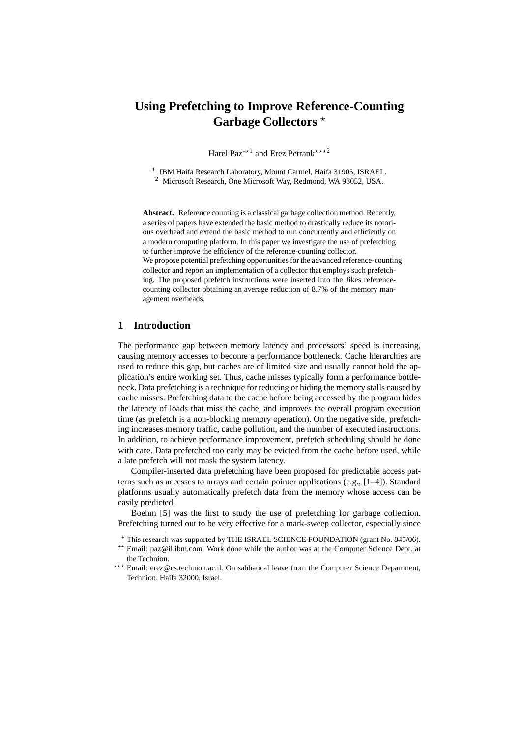# **Using Prefetching to Improve Reference-Counting Garbage Collectors** ?

Harel Paz<sup>\*\*1</sup> and Erez Petrank<sup>\*\*\*2</sup>

<sup>1</sup> IBM Haifa Research Laboratory, Mount Carmel, Haifa 31905, ISRAEL. <sup>2</sup> Microsoft Research, One Microsoft Way, Redmond, WA 98052, USA.

**Abstract.** Reference counting is a classical garbage collection method. Recently, a series of papers have extended the basic method to drastically reduce its notorious overhead and extend the basic method to run concurrently and efficiently on a modern computing platform. In this paper we investigate the use of prefetching to further improve the efficiency of the reference-counting collector. We propose potential prefetching opportunities for the advanced reference-counting collector and report an implementation of a collector that employs such prefetching. The proposed prefetch instructions were inserted into the Jikes referencecounting collector obtaining an average reduction of 8.7% of the memory management overheads.

#### **1 Introduction**

The performance gap between memory latency and processors' speed is increasing, causing memory accesses to become a performance bottleneck. Cache hierarchies are used to reduce this gap, but caches are of limited size and usually cannot hold the application's entire working set. Thus, cache misses typically form a performance bottleneck. Data prefetching is a technique for reducing or hiding the memory stalls caused by cache misses. Prefetching data to the cache before being accessed by the program hides the latency of loads that miss the cache, and improves the overall program execution time (as prefetch is a non-blocking memory operation). On the negative side, prefetching increases memory traffic, cache pollution, and the number of executed instructions. In addition, to achieve performance improvement, prefetch scheduling should be done with care. Data prefetched too early may be evicted from the cache before used, while a late prefetch will not mask the system latency.

Compiler-inserted data prefetching have been proposed for predictable access patterns such as accesses to arrays and certain pointer applications (e.g., [1–4]). Standard platforms usually automatically prefetch data from the memory whose access can be easily predicted.

Boehm [5] was the first to study the use of prefetching for garbage collection. Prefetching turned out to be very effective for a mark-sweep collector, especially since

<sup>?</sup> This research was supported by THE ISRAEL SCIENCE FOUNDATION (grant No. 845/06).

<sup>\*\*</sup> Email: paz@il.ibm.com. Work done while the author was at the Computer Science Dept. at the Technion.

<sup>\*\*\*</sup> Email: erez@cs.technion.ac.il. On sabbatical leave from the Computer Science Department, Technion, Haifa 32000, Israel.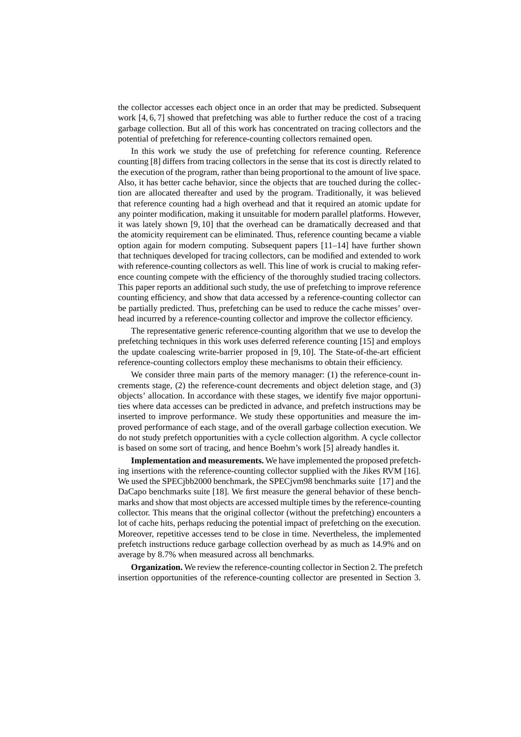the collector accesses each object once in an order that may be predicted. Subsequent work [4, 6, 7] showed that prefetching was able to further reduce the cost of a tracing garbage collection. But all of this work has concentrated on tracing collectors and the potential of prefetching for reference-counting collectors remained open.

In this work we study the use of prefetching for reference counting. Reference counting [8] differs from tracing collectors in the sense that its cost is directly related to the execution of the program, rather than being proportional to the amount of live space. Also, it has better cache behavior, since the objects that are touched during the collection are allocated thereafter and used by the program. Traditionally, it was believed that reference counting had a high overhead and that it required an atomic update for any pointer modification, making it unsuitable for modern parallel platforms. However, it was lately shown [9, 10] that the overhead can be dramatically decreased and that the atomicity requirement can be eliminated. Thus, reference counting became a viable option again for modern computing. Subsequent papers [11–14] have further shown that techniques developed for tracing collectors, can be modified and extended to work with reference-counting collectors as well. This line of work is crucial to making reference counting compete with the efficiency of the thoroughly studied tracing collectors. This paper reports an additional such study, the use of prefetching to improve reference counting efficiency, and show that data accessed by a reference-counting collector can be partially predicted. Thus, prefetching can be used to reduce the cache misses' overhead incurred by a reference-counting collector and improve the collector efficiency.

The representative generic reference-counting algorithm that we use to develop the prefetching techniques in this work uses deferred reference counting [15] and employs the update coalescing write-barrier proposed in [9, 10]. The State-of-the-art efficient reference-counting collectors employ these mechanisms to obtain their efficiency.

We consider three main parts of the memory manager: (1) the reference-count increments stage, (2) the reference-count decrements and object deletion stage, and (3) objects' allocation. In accordance with these stages, we identify five major opportunities where data accesses can be predicted in advance, and prefetch instructions may be inserted to improve performance. We study these opportunities and measure the improved performance of each stage, and of the overall garbage collection execution. We do not study prefetch opportunities with a cycle collection algorithm. A cycle collector is based on some sort of tracing, and hence Boehm's work [5] already handles it.

**Implementation and measurements.** We have implemented the proposed prefetching insertions with the reference-counting collector supplied with the Jikes RVM [16]. We used the SPECjbb2000 benchmark, the SPECjvm98 benchmarks suite [17] and the DaCapo benchmarks suite [18]. We first measure the general behavior of these benchmarks and show that most objects are accessed multiple times by the reference-counting collector. This means that the original collector (without the prefetching) encounters a lot of cache hits, perhaps reducing the potential impact of prefetching on the execution. Moreover, repetitive accesses tend to be close in time. Nevertheless, the implemented prefetch instructions reduce garbage collection overhead by as much as 14.9% and on average by 8.7% when measured across all benchmarks.

**Organization.** We review the reference-counting collector in Section 2. The prefetch insertion opportunities of the reference-counting collector are presented in Section 3.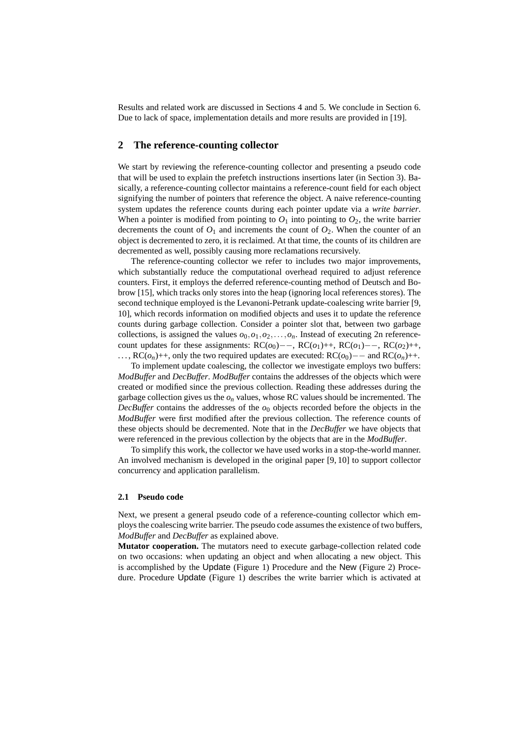Results and related work are discussed in Sections 4 and 5. We conclude in Section 6. Due to lack of space, implementation details and more results are provided in [19].

### **2 The reference-counting collector**

We start by reviewing the reference-counting collector and presenting a pseudo code that will be used to explain the prefetch instructions insertions later (in Section 3). Basically, a reference-counting collector maintains a reference-count field for each object signifying the number of pointers that reference the object. A naive reference-counting system updates the reference counts during each pointer update via a *write barrier*. When a pointer is modified from pointing to  $O_1$  into pointing to  $O_2$ , the write barrier decrements the count of  $O_1$  and increments the count of  $O_2$ . When the counter of an object is decremented to zero, it is reclaimed. At that time, the counts of its children are decremented as well, possibly causing more reclamations recursively.

The reference-counting collector we refer to includes two major improvements, which substantially reduce the computational overhead required to adjust reference counters. First, it employs the deferred reference-counting method of Deutsch and Bobrow [15], which tracks only stores into the heap (ignoring local references stores). The second technique employed is the Levanoni-Petrank update-coalescing write barrier [9, 10], which records information on modified objects and uses it to update the reference counts during garbage collection. Consider a pointer slot that, between two garbage collections, is assigned the values  $o_0, o_1, o_2, \ldots, o_n$ . Instead of executing 2n referencecount updates for these assignments:  $RC(o_0)$ −−,  $RC(o_1)$ ++,  $RC(o_1)$ −−,  $RC(o_2)$ ++,  $\ldots$ , RC( $o_n$ )++, only the two required updates are executed: RC( $o_0$ )−− and RC( $o_n$ )++.

To implement update coalescing, the collector we investigate employs two buffers: *ModBuffer* and *DecBuffer*. *ModBuffer* contains the addresses of the objects which were created or modified since the previous collection. Reading these addresses during the garbage collection gives us the  $o_n$  values, whose RC values should be incremented. The *DecBuffer* contains the addresses of the  $o_0$  objects recorded before the objects in the *ModBuffer* were first modified after the previous collection. The reference counts of these objects should be decremented. Note that in the *DecBuffer* we have objects that were referenced in the previous collection by the objects that are in the *ModBuffer*.

To simplify this work, the collector we have used works in a stop-the-world manner. An involved mechanism is developed in the original paper [9, 10] to support collector concurrency and application parallelism.

#### **2.1 Pseudo code**

Next, we present a general pseudo code of a reference-counting collector which employs the coalescing write barrier. The pseudo code assumes the existence of two buffers, *ModBuffer* and *DecBuffer* as explained above.

**Mutator cooperation.** The mutators need to execute garbage-collection related code on two occasions: when updating an object and when allocating a new object. This is accomplished by the Update (Figure 1) Procedure and the New (Figure 2) Procedure. Procedure Update (Figure 1) describes the write barrier which is activated at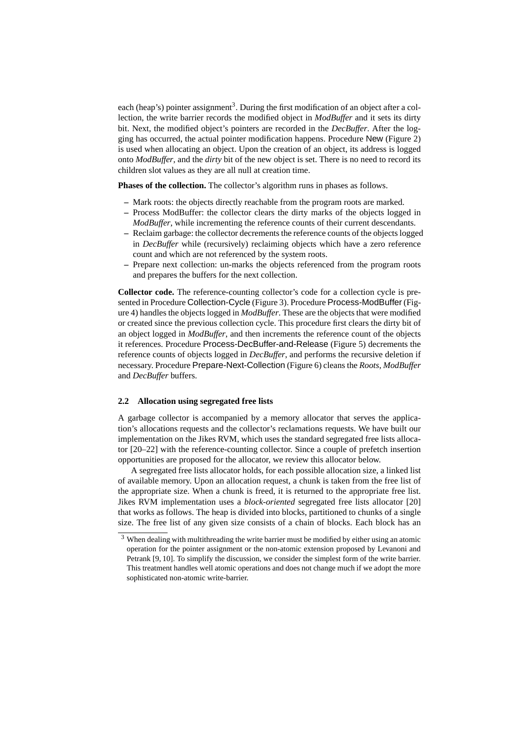each (heap's) pointer assignment<sup>3</sup>. During the first modification of an object after a collection, the write barrier records the modified object in *ModBuffer* and it sets its dirty bit. Next, the modified object's pointers are recorded in the *DecBuffer*. After the logging has occurred, the actual pointer modification happens. Procedure New (Figure 2) is used when allocating an object. Upon the creation of an object, its address is logged onto *ModBuffer*, and the *dirty* bit of the new object is set. There is no need to record its children slot values as they are all null at creation time.

**Phases of the collection.** The collector's algorithm runs in phases as follows.

- **–** Mark roots: the objects directly reachable from the program roots are marked.
- **–** Process ModBuffer: the collector clears the dirty marks of the objects logged in *ModBuffer*, while incrementing the reference counts of their current descendants.
- **–** Reclaim garbage: the collector decrements the reference counts of the objects logged in *DecBuffer* while (recursively) reclaiming objects which have a zero reference count and which are not referenced by the system roots.
- **–** Prepare next collection: un-marks the objects referenced from the program roots and prepares the buffers for the next collection.

**Collector code.** The reference-counting collector's code for a collection cycle is presented in Procedure Collection-Cycle (Figure 3). Procedure Process-ModBuffer (Figure 4) handles the objects logged in *ModBuffer*. These are the objects that were modified or created since the previous collection cycle. This procedure first clears the dirty bit of an object logged in *ModBuffer*, and then increments the reference count of the objects it references. Procedure Process-DecBuffer-and-Release (Figure 5) decrements the reference counts of objects logged in *DecBuffer*, and performs the recursive deletion if necessary. Procedure Prepare-Next-Collection (Figure 6) cleans the *Roots*, *ModBuffer* and *DecBuffer* buffers.

#### **2.2 Allocation using segregated free lists**

A garbage collector is accompanied by a memory allocator that serves the application's allocations requests and the collector's reclamations requests. We have built our implementation on the Jikes RVM, which uses the standard segregated free lists allocator [20–22] with the reference-counting collector. Since a couple of prefetch insertion opportunities are proposed for the allocator, we review this allocator below.

A segregated free lists allocator holds, for each possible allocation size, a linked list of available memory. Upon an allocation request, a chunk is taken from the free list of the appropriate size. When a chunk is freed, it is returned to the appropriate free list. Jikes RVM implementation uses a *block-oriented* segregated free lists allocator [20] that works as follows. The heap is divided into blocks, partitioned to chunks of a single size. The free list of any given size consists of a chain of blocks. Each block has an

<sup>&</sup>lt;sup>3</sup> When dealing with multithreading the write barrier must be modified by either using an atomic operation for the pointer assignment or the non-atomic extension proposed by Levanoni and Petrank [9, 10]. To simplify the discussion, we consider the simplest form of the write barrier. This treatment handles well atomic operations and does not change much if we adopt the more sophisticated non-atomic write-barrier.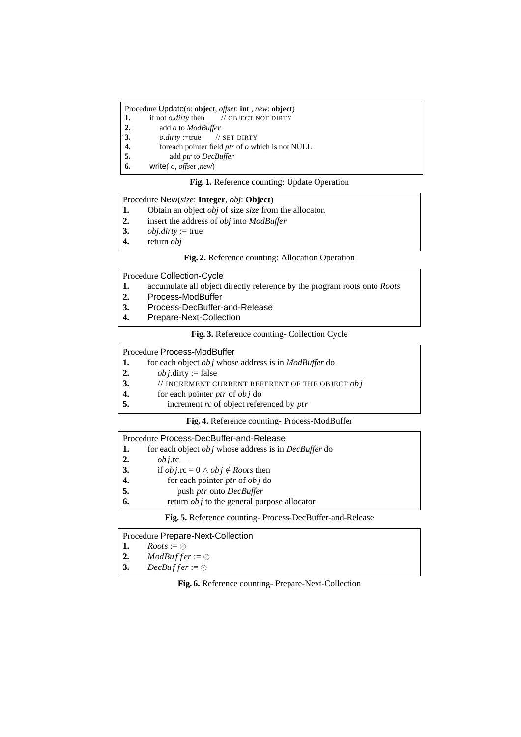#### Procedure Update(*o*: **object**, *offset*: **int** , *new*: **object**)

- **1.** if not *o.dirty* then // OBJECT NOT DIRTY
- **2.** add *o* to *ModBuffer*
- $\delta$ **3.** *o.dirty* :=true // SET DIRTY
- **4.** foreach pointer field *ptr* of *o* which is not NULL
- **5.** add *ptr* to *DecBuffer*
- **6.** write( *o*, *offset* ,*new*)

### **Fig. 1.** Reference counting: Update Operation

### Procedure New(*size*: **Integer**, *obj*: **Object**)

- **1.** Obtain an object *obj* of size *size* from the allocator.
- **2.** insert the address of *obj* into *ModBuffer*
- **3.**  $obj.$  *obj.dirty* := true
- **4.** return *obj*

#### **Fig. 2.** Reference counting: Allocation Operation

### Procedure Collection-Cycle

- **1.** accumulate all object directly reference by the program roots onto *Roots*
- **2.** Process-ModBuffer
- **3.** Process-DecBuffer-and-Release
- **4.** Prepare-Next-Collection

### **Fig. 3.** Reference counting- Collection Cycle

### Procedure Process-ModBuffer

- **1.** for each object *ob j* whose address is in *ModBuffer* do
- **2.**  $\omega b$  *j*.dirty := false
- **3.** // INCREMENT CURRENT REFERENT OF THE OBJECT *ob j*
- **4.** for each pointer *ptr* of *ob j* do
- **5.** increment *rc* of object referenced by *ptr*

### **Fig. 4.** Reference counting- Process-ModBuffer

|    | Procedure Process-DecBuffer-and-Release                             |
|----|---------------------------------------------------------------------|
| 1. | for each object <i>ob</i> j whose address is in <i>DecBuffer</i> do |
| 2. | $obj.rc--$                                                          |
| 3. | if <i>ob</i> j.rc = $0 \wedge obj \notin Roots$ then                |
|    | for each pointer <i>ptr</i> of $obj$ do                             |
|    | push ptr onto DecBuffer                                             |
| 6. | return $obj$ to the general purpose allocator                       |

**Fig. 5.** Reference counting- Process-DecBuffer-and-Release

1. Roots := 
$$
\oslash
$$

**2.** *ModBuffer* :=  $\oslash$ 

**3.** *DecBuffer* :=  $\oslash$ 

### **Fig. 6.** Reference counting- Prepare-Next-Collection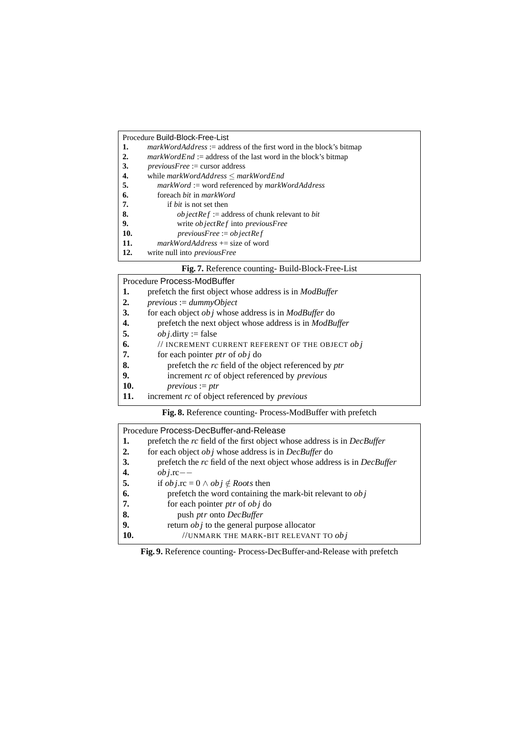Procedure Build-Block-Free-List

**1.** *markWordAddress* := address of the first word in the block's bitmap

- **2.** *markWordEnd* := address of the last word in the block's bitmap
- **3.** *previousFree* := cursor address<br>**4.** while *markWordAddress* ≤ *ma*
- **4.** while *markWordAddress* ≤ *markWordEnd*
- **5.** *markWord* := word referenced by *markWordAddress*
- **6.** foreach *bit* in *markWord*
- **7.** if *bit* is not set then
- **8.** *objectRef* := address of chunk relevant to *bit*
- **9.** write *objectRef* into *previousFree*
- **10.** *previousFree* := *objectRef*
- **11.** *markWordAddress* += size of word
- **12.** write null into *previousFree*

|  |  |  |  | Fig. 7. Reference counting- Build-Block-Free-List |
|--|--|--|--|---------------------------------------------------|
|--|--|--|--|---------------------------------------------------|

|     | Procedure Process-ModBuffer                                         |
|-----|---------------------------------------------------------------------|
| 1.  | prefetch the first object whose address is in <i>ModBuffer</i>      |
| 2.  | $previous := dummyObject$                                           |
| 3.  | for each object <i>ob</i> j whose address is in <i>ModBuffer</i> do |
| 4.  | prefetch the next object whose address is in ModBuffer              |
| 5.  | <i>ob j</i> .dirty := false                                         |
| 6.  | // INCREMENT CURRENT REFERENT OF THE OBJECT $obj$                   |
| 7.  | for each pointer <i>ptr</i> of <i>ob</i> j do                       |
| 8.  | prefetch the rc field of the object referenced by ptr               |
| 9.  | increment rc of object referenced by <i>previous</i>                |
| 10. | $previous := ptr$                                                   |
| 11. | increment rc of object referenced by <i>previous</i>                |

**Fig. 8.** Reference counting- Process-ModBuffer with prefetch

|     | Procedure Process-DecBuffer-and-Release                                        |
|-----|--------------------------------------------------------------------------------|
| 1.  | prefetch the rc field of the first object whose address is in <i>DecBuffer</i> |
| 2.  | for each object $obj$ whose address is in $DecBuffer$ do                       |
| 3.  | prefetch the rc field of the next object whose address is in DecBuffer         |
| 4.  | $obj.rc--$                                                                     |
| -5. | if <i>ob</i> j.rc = $0 \wedge obj \notin Roots$ then                           |
| 6.  | prefetch the word containing the mark-bit relevant to $obj$                    |
| 7.  | for each pointer <i>ptr</i> of <i>ob</i> j do                                  |
| 8.  | push ptr onto DecBuffer                                                        |
| 9.  | return $obj$ to the general purpose allocator                                  |
| 10. | //UNMARK THE MARK-BIT RELEVANT TO $obj$                                        |

**Fig. 9.** Reference counting- Process-DecBuffer-and-Release with prefetch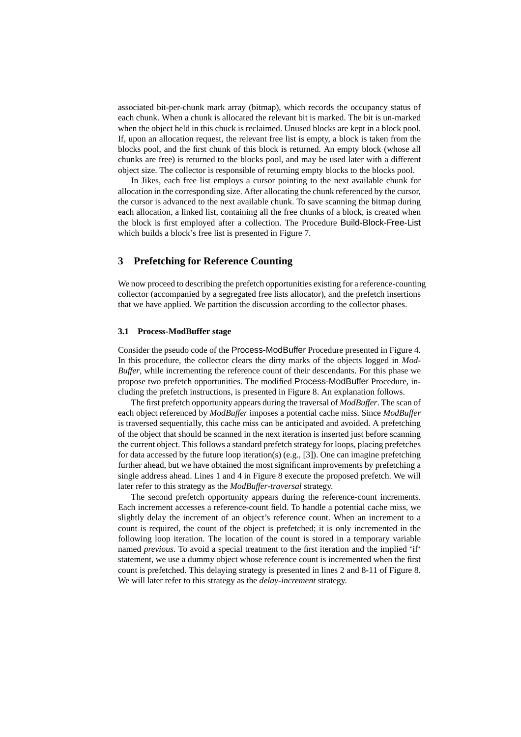associated bit-per-chunk mark array (bitmap), which records the occupancy status of each chunk. When a chunk is allocated the relevant bit is marked. The bit is un-marked when the object held in this chuck is reclaimed. Unused blocks are kept in a block pool. If, upon an allocation request, the relevant free list is empty, a block is taken from the blocks pool, and the first chunk of this block is returned. An empty block (whose all chunks are free) is returned to the blocks pool, and may be used later with a different object size. The collector is responsible of returning empty blocks to the blocks pool.

In Jikes, each free list employs a cursor pointing to the next available chunk for allocation in the corresponding size. After allocating the chunk referenced by the cursor, the cursor is advanced to the next available chunk. To save scanning the bitmap during each allocation, a linked list, containing all the free chunks of a block, is created when the block is first employed after a collection. The Procedure Build-Block-Free-List which builds a block's free list is presented in Figure 7.

### **3 Prefetching for Reference Counting**

We now proceed to describing the prefetch opportunities existing for a reference-counting collector (accompanied by a segregated free lists allocator), and the prefetch insertions that we have applied. We partition the discussion according to the collector phases.

#### **3.1 Process-ModBuffer stage**

Consider the pseudo code of the Process-ModBuffer Procedure presented in Figure 4. In this procedure, the collector clears the dirty marks of the objects logged in *Mod-Buffer*, while incrementing the reference count of their descendants. For this phase we propose two prefetch opportunities. The modified Process-ModBuffer Procedure, including the prefetch instructions, is presented in Figure 8. An explanation follows.

The first prefetch opportunity appears during the traversal of *ModBuffer*. The scan of each object referenced by *ModBuffer* imposes a potential cache miss. Since *ModBuffer* is traversed sequentially, this cache miss can be anticipated and avoided. A prefetching of the object that should be scanned in the next iteration is inserted just before scanning the current object. This follows a standard prefetch strategy for loops, placing prefetches for data accessed by the future loop iteration(s) (e.g., [3]). One can imagine prefetching further ahead, but we have obtained the most significant improvements by prefetching a single address ahead. Lines 1 and 4 in Figure 8 execute the proposed prefetch. We will later refer to this strategy as the *ModBuffer-traversal* strategy.

The second prefetch opportunity appears during the reference-count increments. Each increment accesses a reference-count field. To handle a potential cache miss, we slightly delay the increment of an object's reference count. When an increment to a count is required, the count of the object is prefetched; it is only incremented in the following loop iteration. The location of the count is stored in a temporary variable named *previous*. To avoid a special treatment to the first iteration and the implied 'if' statement, we use a dummy object whose reference count is incremented when the first count is prefetched. This delaying strategy is presented in lines 2 and 8-11 of Figure 8. We will later refer to this strategy as the *delay-increment* strategy.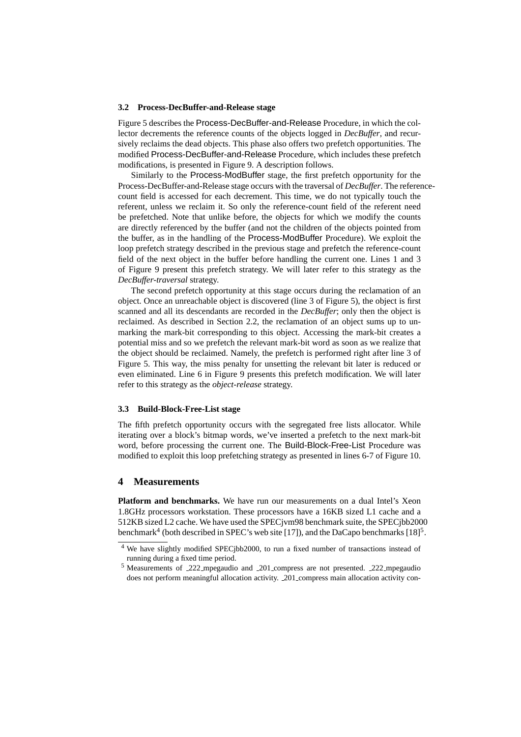#### **3.2 Process-DecBuffer-and-Release stage**

Figure 5 describes the Process-DecBuffer-and-Release Procedure, in which the collector decrements the reference counts of the objects logged in *DecBuffer*, and recursively reclaims the dead objects. This phase also offers two prefetch opportunities. The modified Process-DecBuffer-and-Release Procedure, which includes these prefetch modifications, is presented in Figure 9. A description follows.

Similarly to the Process-ModBuffer stage, the first prefetch opportunity for the Process-DecBuffer-and-Release stage occurs with the traversal of *DecBuffer*. The referencecount field is accessed for each decrement. This time, we do not typically touch the referent, unless we reclaim it. So only the reference-count field of the referent need be prefetched. Note that unlike before, the objects for which we modify the counts are directly referenced by the buffer (and not the children of the objects pointed from the buffer, as in the handling of the Process-ModBuffer Procedure). We exploit the loop prefetch strategy described in the previous stage and prefetch the reference-count field of the next object in the buffer before handling the current one. Lines 1 and 3 of Figure 9 present this prefetch strategy. We will later refer to this strategy as the *DecBuffer-traversal* strategy.

The second prefetch opportunity at this stage occurs during the reclamation of an object. Once an unreachable object is discovered (line 3 of Figure 5), the object is first scanned and all its descendants are recorded in the *DecBuffer*; only then the object is reclaimed. As described in Section 2.2, the reclamation of an object sums up to unmarking the mark-bit corresponding to this object. Accessing the mark-bit creates a potential miss and so we prefetch the relevant mark-bit word as soon as we realize that the object should be reclaimed. Namely, the prefetch is performed right after line 3 of Figure 5. This way, the miss penalty for unsetting the relevant bit later is reduced or even eliminated. Line 6 in Figure 9 presents this prefetch modification. We will later refer to this strategy as the *object-release* strategy.

#### **3.3 Build-Block-Free-List stage**

The fifth prefetch opportunity occurs with the segregated free lists allocator. While iterating over a block's bitmap words, we've inserted a prefetch to the next mark-bit word, before processing the current one. The Build-Block-Free-List Procedure was modified to exploit this loop prefetching strategy as presented in lines 6-7 of Figure 10.

### **4 Measurements**

**Platform and benchmarks.** We have run our measurements on a dual Intel's Xeon 1.8GHz processors workstation. These processors have a 16KB sized L1 cache and a 512KB sized L2 cache. We have used the SPECjvm98 benchmark suite, the SPECjbb2000 benchmark<sup>4</sup> (both described in SPEC's web site [17]), and the DaCapo benchmarks [18]<sup>5</sup>.

<sup>4</sup> We have slightly modified SPECjbb2000, to run a fixed number of transactions instead of running during a fixed time period.

<sup>5</sup> Measurements of 222 mpegaudio and 201 compress are not presented. 222 mpegaudio does not perform meaningful allocation activity. .201 compress main allocation activity con-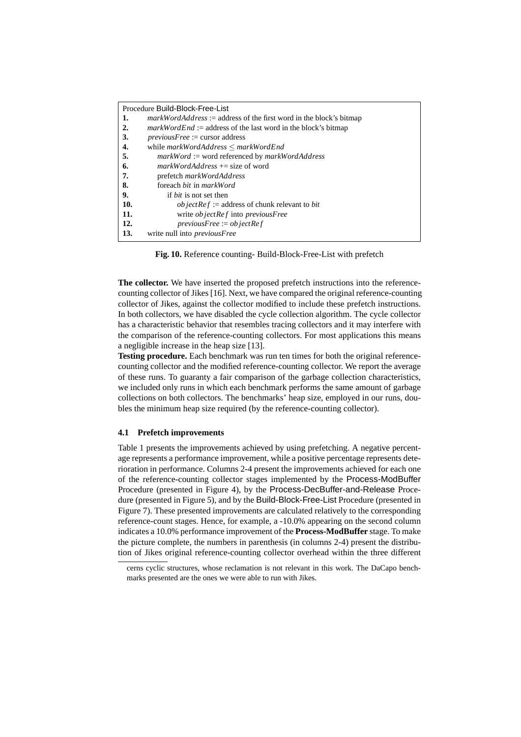|     | Procedure Build-Block-Free-List                                      |
|-----|----------------------------------------------------------------------|
| 1.  | $markWordAddress := address$ of the first word in the block's bitmap |
| 2.  | $markWordEnd$ := address of the last word in the block's bitmap      |
| 3.  | $previousFree := cursor address$                                     |
| 4.  | while markWordAddress $\leq$ markWordEnd                             |
| 5.  | $markWord := word$ referenced by markWordAddress                     |
| 6.  | $markWordAddress += size of word$                                    |
| 7.  | prefetch markWordAddress                                             |
| 8.  | foreach <i>bit</i> in <i>markWord</i>                                |
| 9.  | if <i>hit</i> is not set then                                        |
| 10. | <i>objectRef</i> := address of chunk relevant to <i>bit</i>          |
| 11. | write <i>ob</i> jectRef into previousFree                            |
| 12. | $previousFree := objectRef$                                          |
| 13. | write null into <i>previousFree</i>                                  |
|     |                                                                      |

**Fig. 10.** Reference counting- Build-Block-Free-List with prefetch

**The collector.** We have inserted the proposed prefetch instructions into the referencecounting collector of Jikes [16]. Next, we have compared the original reference-counting collector of Jikes, against the collector modified to include these prefetch instructions. In both collectors, we have disabled the cycle collection algorithm. The cycle collector has a characteristic behavior that resembles tracing collectors and it may interfere with the comparison of the reference-counting collectors. For most applications this means a negligible increase in the heap size [13].

**Testing procedure.** Each benchmark was run ten times for both the original referencecounting collector and the modified reference-counting collector. We report the average of these runs. To guaranty a fair comparison of the garbage collection characteristics, we included only runs in which each benchmark performs the same amount of garbage collections on both collectors. The benchmarks' heap size, employed in our runs, doubles the minimum heap size required (by the reference-counting collector).

#### **4.1 Prefetch improvements**

Table 1 presents the improvements achieved by using prefetching. A negative percentage represents a performance improvement, while a positive percentage represents deterioration in performance. Columns 2-4 present the improvements achieved for each one of the reference-counting collector stages implemented by the Process-ModBuffer Procedure (presented in Figure 4), by the Process-DecBuffer-and-Release Procedure (presented in Figure 5), and by the Build-Block-Free-List Procedure (presented in Figure 7). These presented improvements are calculated relatively to the corresponding reference-count stages. Hence, for example, a -10.0% appearing on the second column indicates a 10.0% performance improvement of the **Process-ModBuffer** stage. To make the picture complete, the numbers in parenthesis (in columns 2-4) present the distribution of Jikes original reference-counting collector overhead within the three different

cerns cyclic structures, whose reclamation is not relevant in this work. The DaCapo benchmarks presented are the ones we were able to run with Jikes.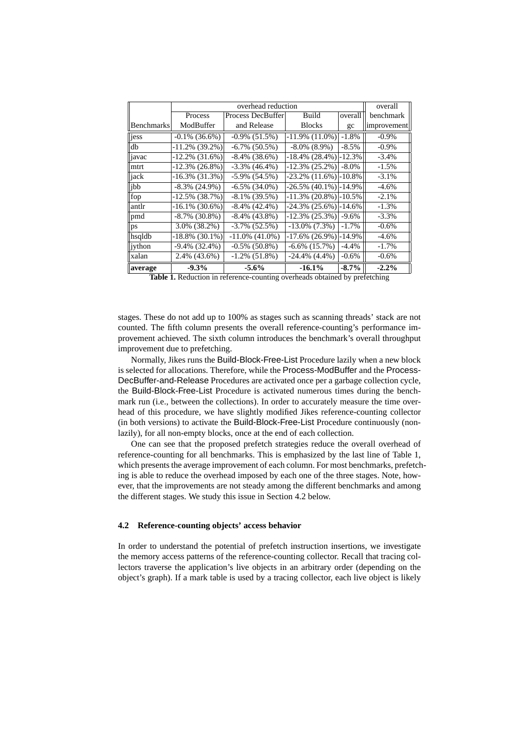|                   |                   | overall           |                              |          |             |
|-------------------|-------------------|-------------------|------------------------------|----------|-------------|
|                   | Process           | Process DecBuffer | Build                        | overall  | benchmark   |
| <b>Benchmarks</b> | ModBuffer         | and Release       | <b>Blocks</b>                | gc       | improvement |
| jess              | $-0.1\%$ (36.6%)  | $-0.9\%$ (51.5%)  | $-11.9\%$ (11.0%)            | $-1.8%$  | $-0.9\%$    |
| db                | $-11.2\%$ (39.2%) | $-6.7\%$ (50.5%)  | $-8.0\%$ (8.9%)              | $-8.5\%$ | $-0.9\%$    |
| javac             | $-12.2\%$ (31.6%) | $-8.4\%$ (38.6%)  | $-18.4\%$ (28.4%) $ -12.3\%$ |          | $-3.4%$     |
| mtrt              | $-12.3\%$ (26.8%) | $-3.3\%$ (46.4%)  | $-12.3\%$ (25.2%) $-8.0\%$   |          | $-1.5\%$    |
| jack              | $-16.3\%$ (31.3%) | $-5.9\%$ (54.5%)  | $-23.2\%$ (11.6%) -10.8%     |          | $-3.1%$     |
| ibb               | $-8.3\%$ (24.9%)  | $-6.5\%$ (34.0%)  | $-26.5\%$ (40.1%) $-14.9\%$  |          | $-4.6%$     |
| fop               | $-12.5\%$ (38.7%) | $-8.1\%$ (39.5%)  | $-11.3\%$ (20.8%) $-10.5\%$  |          | $-2.1%$     |
| antlr             | $-16.1\%$ (30.6%) | $-8.4\%$ (42.4%)  | $-24.3\%$ (25.6%) $ -14.6\%$ |          | $-1.3%$     |
| pmd               | $-8.7\%$ (30.8%)  | $-8.4\%$ (43.8%)  | $-12.3\%$ (25.3%) $-9.6\%$   |          | $-3.3%$     |
| ps                | $3.0\%$ (38.2%)   | $-3.7\%$ (52.5%)  | $-13.0\%$ (7.3%)             | $-1.7\%$ | $-0.6%$     |
| hsqldb            | $-18.8\%$ (30.1%) | $-11.0\%$ (41.0%) | $-17.6\%$ (26.9%) -14.9%     |          | $-4.6%$     |
| iython            | $-9.4\%$ (32.4%)  | $-0.5\%$ (50.8%)  | $-6.6\%$ (15.7%)             | $-4.4\%$ | $-1.7\%$    |
| xalan             | 2.4% (43.6%)      | $-1.2\%$ (51.8%)  | $-24.4\%$ $(4.4\%)$          | $-0.6%$  | $-0.6%$     |
| average           | $-9.3\%$          | $-5.6%$           | $-16.1%$                     | $-8.7\%$ | $-2.2%$     |

**Table 1.** Reduction in reference-counting overheads obtained by prefetching

stages. These do not add up to 100% as stages such as scanning threads' stack are not counted. The fifth column presents the overall reference-counting's performance improvement achieved. The sixth column introduces the benchmark's overall throughput improvement due to prefetching.

Normally, Jikes runs the Build-Block-Free-List Procedure lazily when a new block is selected for allocations. Therefore, while the Process-ModBuffer and the Process-DecBuffer-and-Release Procedures are activated once per a garbage collection cycle, the Build-Block-Free-List Procedure is activated numerous times during the benchmark run (i.e., between the collections). In order to accurately measure the time overhead of this procedure, we have slightly modified Jikes reference-counting collector (in both versions) to activate the Build-Block-Free-List Procedure continuously (nonlazily), for all non-empty blocks, once at the end of each collection.

One can see that the proposed prefetch strategies reduce the overall overhead of reference-counting for all benchmarks. This is emphasized by the last line of Table 1, which presents the average improvement of each column. For most benchmarks, prefetching is able to reduce the overhead imposed by each one of the three stages. Note, however, that the improvements are not steady among the different benchmarks and among the different stages. We study this issue in Section 4.2 below.

#### **4.2 Reference-counting objects' access behavior**

In order to understand the potential of prefetch instruction insertions, we investigate the memory access patterns of the reference-counting collector. Recall that tracing collectors traverse the application's live objects in an arbitrary order (depending on the object's graph). If a mark table is used by a tracing collector, each live object is likely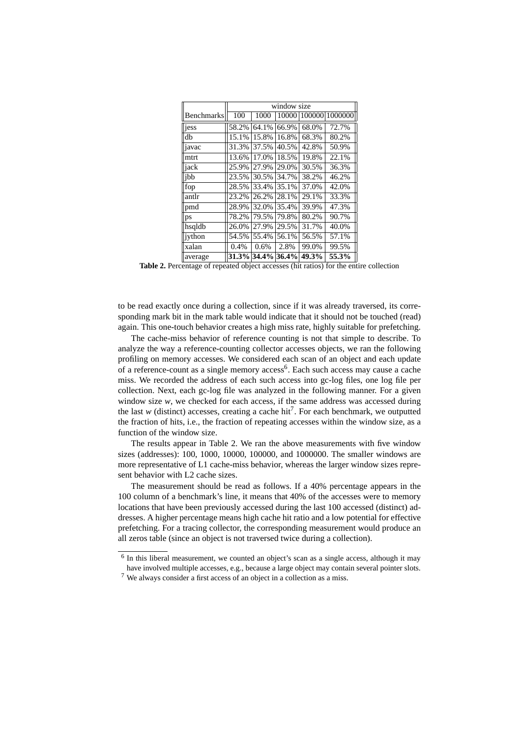|                   | window size      |       |                   |        |         |
|-------------------|------------------|-------|-------------------|--------|---------|
| <b>Benchmarks</b> | $\overline{10}0$ | 1000  | 10000             | 100000 | 1000000 |
| jess              | 58.2%            | 64.1% | 66.9%             | 68.0%  | 72.7%   |
| db                | 15.1%            | 15.8% | 16.8%             | 68.3%  | 80.2%   |
| javac             | 31.3%            | 37.5% | 40.5%             | 42.8%  | 50.9%   |
| mtrt              | 13.6%            | 17.0% | 18.5%             | 19.8%  | 22.1%   |
| jack              | 25.9%            | 27.9% | 29.0%             | 30.5%  | 36.3%   |
| ibb               | 23.5%            | 30.5% | 34.7%             | 38.2%  | 46.2%   |
| fop               | 28.5%            | 33.4% | 35.1%             | 37.0%  | 42.0%   |
| antlr             | 23.2%            | 26.2% | 28.1%             | 29.1%  | 33.3%   |
| pmd               | 28.9%            | 32.0% | 35.4%             | 39.9%  | 47.3%   |
| ps                | 78.2%            | 79.5% | 79.8%             | 80.2%  | 90.7%   |
| hsqldb            | 26.0%            | 27.9% | 29.5%             | 31.7%  | 40.0%   |
| iython            | 54.5%            | 55.4% | 56.1%             | 56.5%  | 57.1%   |
| xalan             | 0.4%             | 0.6%  | 2.8%              | 99.0%  | 99.5%   |
| average           |                  |       | 31.3% 34.4% 36.4% | 49.3%  | 55.3%   |

**Table 2.** Percentage of repeated object accesses (hit ratios) for the entire collection

to be read exactly once during a collection, since if it was already traversed, its corresponding mark bit in the mark table would indicate that it should not be touched (read) again. This one-touch behavior creates a high miss rate, highly suitable for prefetching.

The cache-miss behavior of reference counting is not that simple to describe. To analyze the way a reference-counting collector accesses objects, we ran the following profiling on memory accesses. We considered each scan of an object and each update of a reference-count as a single memory access<sup>6</sup>. Each such access may cause a cache miss. We recorded the address of each such access into gc-log files, one log file per collection. Next, each gc-log file was analyzed in the following manner. For a given window size *w*, we checked for each access, if the same address was accessed during the last  $w$  (distinct) accesses, creating a cache hit<sup>7</sup>. For each benchmark, we outputted the fraction of hits, i.e., the fraction of repeating accesses within the window size, as a function of the window size.

The results appear in Table 2. We ran the above measurements with five window sizes (addresses): 100, 1000, 10000, 100000, and 1000000. The smaller windows are more representative of L1 cache-miss behavior, whereas the larger window sizes represent behavior with L2 cache sizes.

The measurement should be read as follows. If a 40% percentage appears in the 100 column of a benchmark's line, it means that 40% of the accesses were to memory locations that have been previously accessed during the last 100 accessed (distinct) addresses. A higher percentage means high cache hit ratio and a low potential for effective prefetching. For a tracing collector, the corresponding measurement would produce an all zeros table (since an object is not traversed twice during a collection).

 $6$  In this liberal measurement, we counted an object's scan as a single access, although it may have involved multiple accesses, e.g., because a large object may contain several pointer slots.

 $7$  We always consider a first access of an object in a collection as a miss.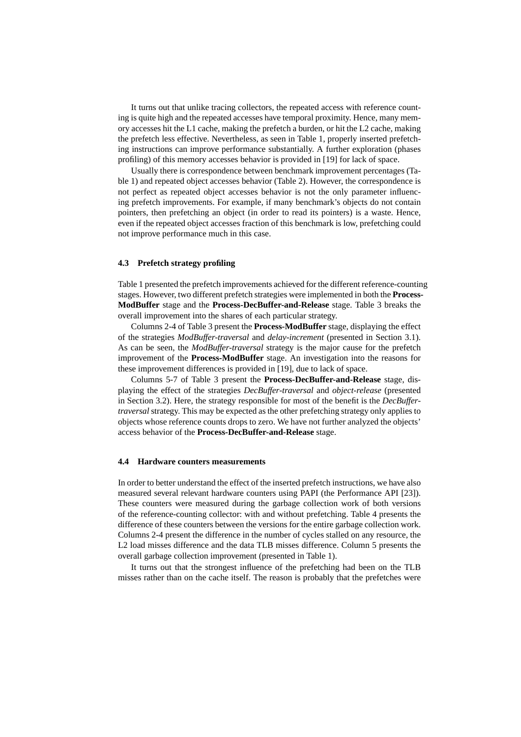It turns out that unlike tracing collectors, the repeated access with reference counting is quite high and the repeated accesses have temporal proximity. Hence, many memory accesses hit the L1 cache, making the prefetch a burden, or hit the L2 cache, making the prefetch less effective. Nevertheless, as seen in Table 1, properly inserted prefetching instructions can improve performance substantially. A further exploration (phases profiling) of this memory accesses behavior is provided in [19] for lack of space.

Usually there is correspondence between benchmark improvement percentages (Table 1) and repeated object accesses behavior (Table 2). However, the correspondence is not perfect as repeated object accesses behavior is not the only parameter influencing prefetch improvements. For example, if many benchmark's objects do not contain pointers, then prefetching an object (in order to read its pointers) is a waste. Hence, even if the repeated object accesses fraction of this benchmark is low, prefetching could not improve performance much in this case.

#### **4.3 Prefetch strategy profiling**

Table 1 presented the prefetch improvements achieved for the different reference-counting stages. However, two different prefetch strategies were implemented in both the **Process-ModBuffer** stage and the **Process-DecBuffer-and-Release** stage. Table 3 breaks the overall improvement into the shares of each particular strategy.

Columns 2-4 of Table 3 present the **Process-ModBuffer** stage, displaying the effect of the strategies *ModBuffer-traversal* and *delay-increment* (presented in Section 3.1). As can be seen, the *ModBuffer-traversal* strategy is the major cause for the prefetch improvement of the **Process-ModBuffer** stage. An investigation into the reasons for these improvement differences is provided in [19], due to lack of space.

Columns 5-7 of Table 3 present the **Process-DecBuffer-and-Release** stage, displaying the effect of the strategies *DecBuffer-traversal* and *object-release* (presented in Section 3.2). Here, the strategy responsible for most of the benefit is the *DecBuffertraversal* strategy. This may be expected as the other prefetching strategy only applies to objects whose reference counts drops to zero. We have not further analyzed the objects' access behavior of the **Process-DecBuffer-and-Release** stage.

#### **4.4 Hardware counters measurements**

In order to better understand the effect of the inserted prefetch instructions, we have also measured several relevant hardware counters using PAPI (the Performance API [23]). These counters were measured during the garbage collection work of both versions of the reference-counting collector: with and without prefetching. Table 4 presents the difference of these counters between the versions for the entire garbage collection work. Columns 2-4 present the difference in the number of cycles stalled on any resource, the L2 load misses difference and the data TLB misses difference. Column 5 presents the overall garbage collection improvement (presented in Table 1).

It turns out that the strongest influence of the prefetching had been on the TLB misses rather than on the cache itself. The reason is probably that the prefetches were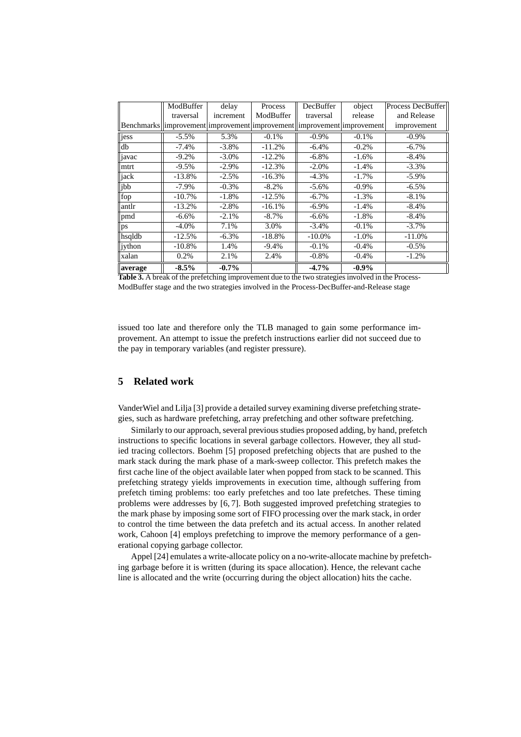|         | ModBuffer                                       | delay     | Process   | DecBuffer               | object   | Process DecBuffer |
|---------|-------------------------------------------------|-----------|-----------|-------------------------|----------|-------------------|
|         | traversal                                       | increment | ModBuffer | traversal               | release  | and Release       |
|         | Benchmarks  improvement improvement improvement |           |           | improvement improvement |          | improvement       |
| jess    | $-5.5%$                                         | 5.3%      | $-0.1\%$  | $-0.9\%$                | $-0.1%$  | $-0.9\%$          |
| db      | $-7.4%$                                         | $-3.8\%$  | $-11.2%$  | $-6.4%$                 | $-0.2\%$ | $-6.7\%$          |
| javac   | $-9.2\%$                                        | $-3.0\%$  | $-12.2%$  | $-6.8\%$                | $-1.6%$  | $-8.4\%$          |
| mtrt    | $-9.5%$                                         | $-2.9\%$  | $-12.3%$  | $-2.0\%$                | $-1.4%$  | $-3.3\%$          |
| iack    | $-13.8%$                                        | $-2.5%$   | $-16.3%$  | $-4.3\%$                | $-1.7\%$ | $-5.9\%$          |
| ibb     | $-7.9\%$                                        | $-0.3%$   | $-8.2\%$  | $-5.6\%$                | $-0.9\%$ | $-6.5%$           |
| 16p     | $-10.7\%$                                       | $-1.8%$   | $-12.5%$  | $-6.7%$                 | $-1.3%$  | $-8.1%$           |
| antlr   | $-13.2%$                                        | $-2.8%$   | $-16.1%$  | $-6.9\%$                | $-1.4%$  | $-8.4%$           |
| pmd     | $-6.6%$                                         | $-2.1%$   | $-8.7\%$  | $-6.6%$                 | $-1.8%$  | $-8.4%$           |
| ps      | $-4.0\%$                                        | 7.1%      | 3.0%      | $-3.4%$                 | $-0.1\%$ | $-3.7\%$          |
| hsqldb  | $-12.5%$                                        | $-6.3\%$  | $-18.8%$  | $-10.0\%$               | $-1.0\%$ | $-11.0%$          |
| liython | $-10.8\%$                                       | 1.4%      | $-9.4\%$  | $-0.1%$                 | $-0.4%$  | $-0.5%$           |
| xalan   | 0.2%                                            | 2.1%      | 2.4%      | $-0.8\%$                | $-0.4%$  | $-1.2%$           |
| average | $-8.5%$                                         | $-0.7%$   |           | $-4.7%$                 | $-0.9%$  |                   |

**Table 3.** A break of the prefetching improvement due to the two strategies involved in the Process-ModBuffer stage and the two strategies involved in the Process-DecBuffer-and-Release stage

issued too late and therefore only the TLB managed to gain some performance improvement. An attempt to issue the prefetch instructions earlier did not succeed due to the pay in temporary variables (and register pressure).

# **5 Related work**

VanderWiel and Lilja [3] provide a detailed survey examining diverse prefetching strategies, such as hardware prefetching, array prefetching and other software prefetching.

Similarly to our approach, several previous studies proposed adding, by hand, prefetch instructions to specific locations in several garbage collectors. However, they all studied tracing collectors. Boehm [5] proposed prefetching objects that are pushed to the mark stack during the mark phase of a mark-sweep collector. This prefetch makes the first cache line of the object available later when popped from stack to be scanned. This prefetching strategy yields improvements in execution time, although suffering from prefetch timing problems: too early prefetches and too late prefetches. These timing problems were addresses by [6, 7]. Both suggested improved prefetching strategies to the mark phase by imposing some sort of FIFO processing over the mark stack, in order to control the time between the data prefetch and its actual access. In another related work, Cahoon [4] employs prefetching to improve the memory performance of a generational copying garbage collector.

Appel [24] emulates a write-allocate policy on a no-write-allocate machine by prefetching garbage before it is written (during its space allocation). Hence, the relevant cache line is allocated and the write (occurring during the object allocation) hits the cache.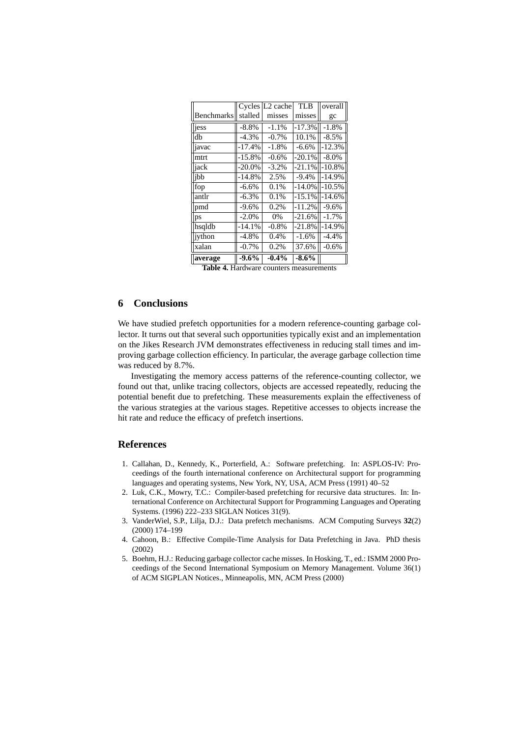|                   |           | Cycles L <sub>2</sub> cache | TLB      | overall  |
|-------------------|-----------|-----------------------------|----------|----------|
| <b>Benchmarks</b> | stalled   | misses                      | misses   | gc       |
| iess              | $-8.8%$   | $-1.1%$                     | $-17.3%$ | $-1.8%$  |
| db                | $-4.3\%$  | $-0.7%$                     | 10.1%    | $-8.5%$  |
| liavac            | -17.4%    | $-1.8\%$                    | $-6.6%$  | -12.3%   |
| mtrt.             | -15.8%    | $-0.6%$                     | $-20.1%$ | $-8.0\%$ |
| <i>iack</i>       | $-20.0\%$ | $-3.2\%$                    | $-21.1%$ | $-10.8%$ |
| ibb               | -14.8%    | 2.5%                        | $-9.4%$  | $-14.9%$ |
| fop               | $-6.6%$   | 0.1%                        | $-14.0%$ | $-10.5%$ |
| antlr             | $-6.3\%$  | 0.1%                        | $-15.1%$ | $-14.6%$ |
| pmd               | $-9.6%$   | 0.2%                        | $-11.2%$ | $-9.6%$  |
| ps                | $-2.0\%$  | 0%                          | $-21.6%$ | $-1.7%$  |
| hsqldb            | $-14.1%$  | $-0.8\%$                    | $-21.8%$ | $-14.9%$ |
| <i>ivthon</i>     | $-4.8\%$  | 0.4%                        | $-1.6%$  | $-4.4%$  |
| xalan             | $-0.7\%$  | 0.2%                        | 37.6%    | $-0.6%$  |
| average           | $-9.6%$   | $-0.4%$                     | $-8.6%$  |          |

**Table 4.** Hardware counters measurements

# **6 Conclusions**

We have studied prefetch opportunities for a modern reference-counting garbage collector. It turns out that several such opportunities typically exist and an implementation on the Jikes Research JVM demonstrates effectiveness in reducing stall times and improving garbage collection efficiency. In particular, the average garbage collection time was reduced by 8.7%.

Investigating the memory access patterns of the reference-counting collector, we found out that, unlike tracing collectors, objects are accessed repeatedly, reducing the potential benefit due to prefetching. These measurements explain the effectiveness of the various strategies at the various stages. Repetitive accesses to objects increase the hit rate and reduce the efficacy of prefetch insertions.

### **References**

- 1. Callahan, D., Kennedy, K., Porterfield, A.: Software prefetching. In: ASPLOS-IV: Proceedings of the fourth international conference on Architectural support for programming languages and operating systems, New York, NY, USA, ACM Press (1991) 40–52
- 2. Luk, C.K., Mowry, T.C.: Compiler-based prefetching for recursive data structures. In: International Conference on Architectural Support for Programming Languages and Operating Systems. (1996) 222–233 SIGLAN Notices 31(9).
- 3. VanderWiel, S.P., Lilja, D.J.: Data prefetch mechanisms. ACM Computing Surveys **32**(2) (2000) 174–199
- 4. Cahoon, B.: Effective Compile-Time Analysis for Data Prefetching in Java. PhD thesis (2002)
- 5. Boehm, H.J.: Reducing garbage collector cache misses. In Hosking, T., ed.: ISMM 2000 Proceedings of the Second International Symposium on Memory Management. Volume 36(1) of ACM SIGPLAN Notices., Minneapolis, MN, ACM Press (2000)